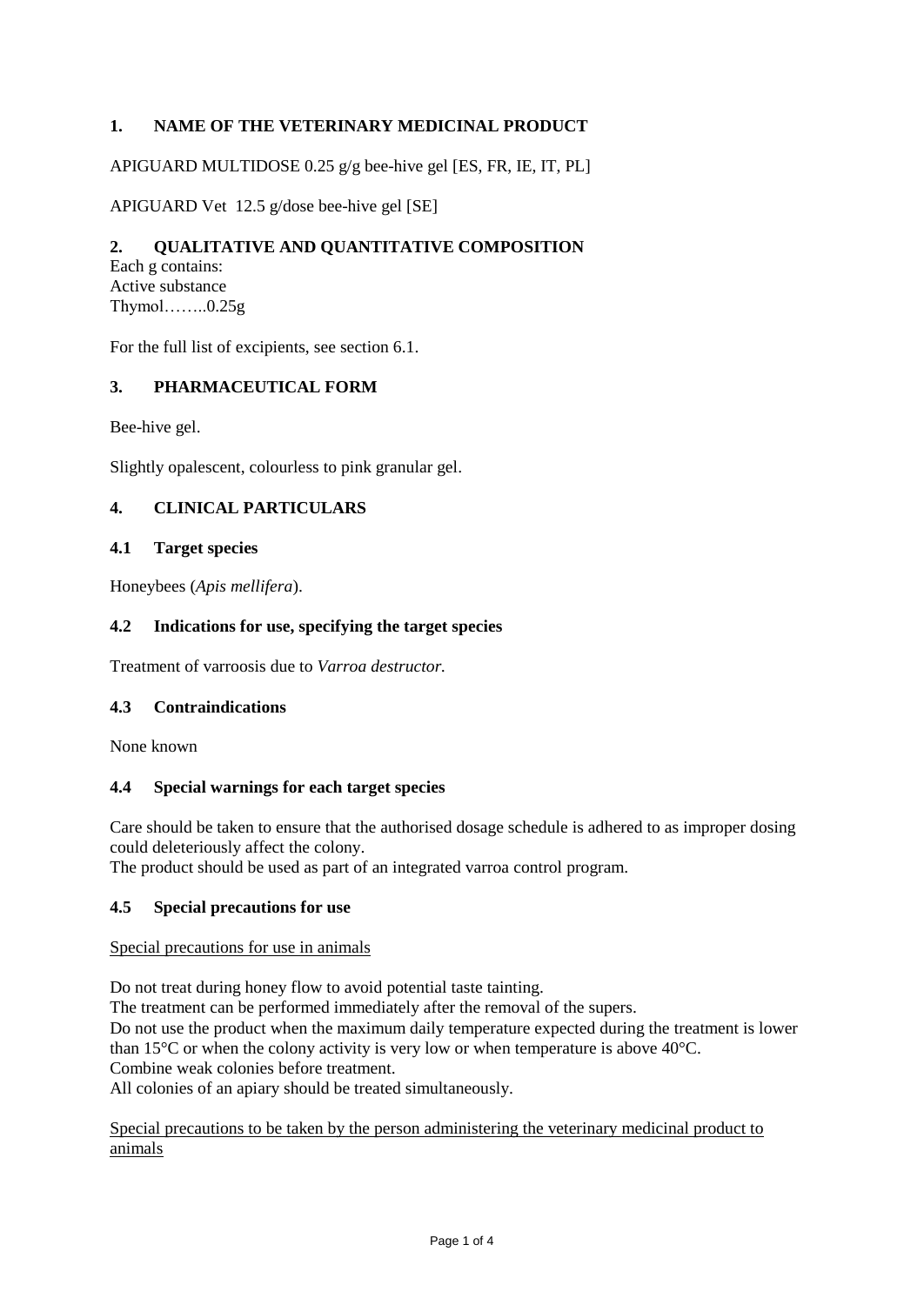# **1. NAME OF THE VETERINARY MEDICINAL PRODUCT**

APIGUARD MULTIDOSE 0.25 g/g bee-hive gel [ES, FR, IE, IT, PL]

APIGUARD Vet 12.5 g/dose bee-hive gel [SE]

# **2. QUALITATIVE AND QUANTITATIVE COMPOSITION**

Each g contains: Active substance Thymol……..0.25g

For the full list of excipients, see section 6.1.

### **3. PHARMACEUTICAL FORM**

Bee-hive gel.

Slightly opalescent, colourless to pink granular gel.

## **4. CLINICAL PARTICULARS**

### **4.1 Target species**

Honeybees (*Apis mellifera*).

### **4.2 Indications for use, specifying the target species**

Treatment of varroosis due to *Varroa destructor.*

### **4.3 Contraindications**

None known

#### **4.4 Special warnings for each target species**

Care should be taken to ensure that the authorised dosage schedule is adhered to as improper dosing could deleteriously affect the colony.

The product should be used as part of an integrated varroa control program.

### **4.5 Special precautions for use**

#### Special precautions for use in animals

Do not treat during honey flow to avoid potential taste tainting.

The treatment can be performed immediately after the removal of the supers.

Do not use the product when the maximum daily temperature expected during the treatment is lower than 15°C or when the colony activity is very low or when temperature is above 40°C.

Combine weak colonies before treatment.

All colonies of an apiary should be treated simultaneously.

Special precautions to be taken by the person administering the veterinary medicinal product to animals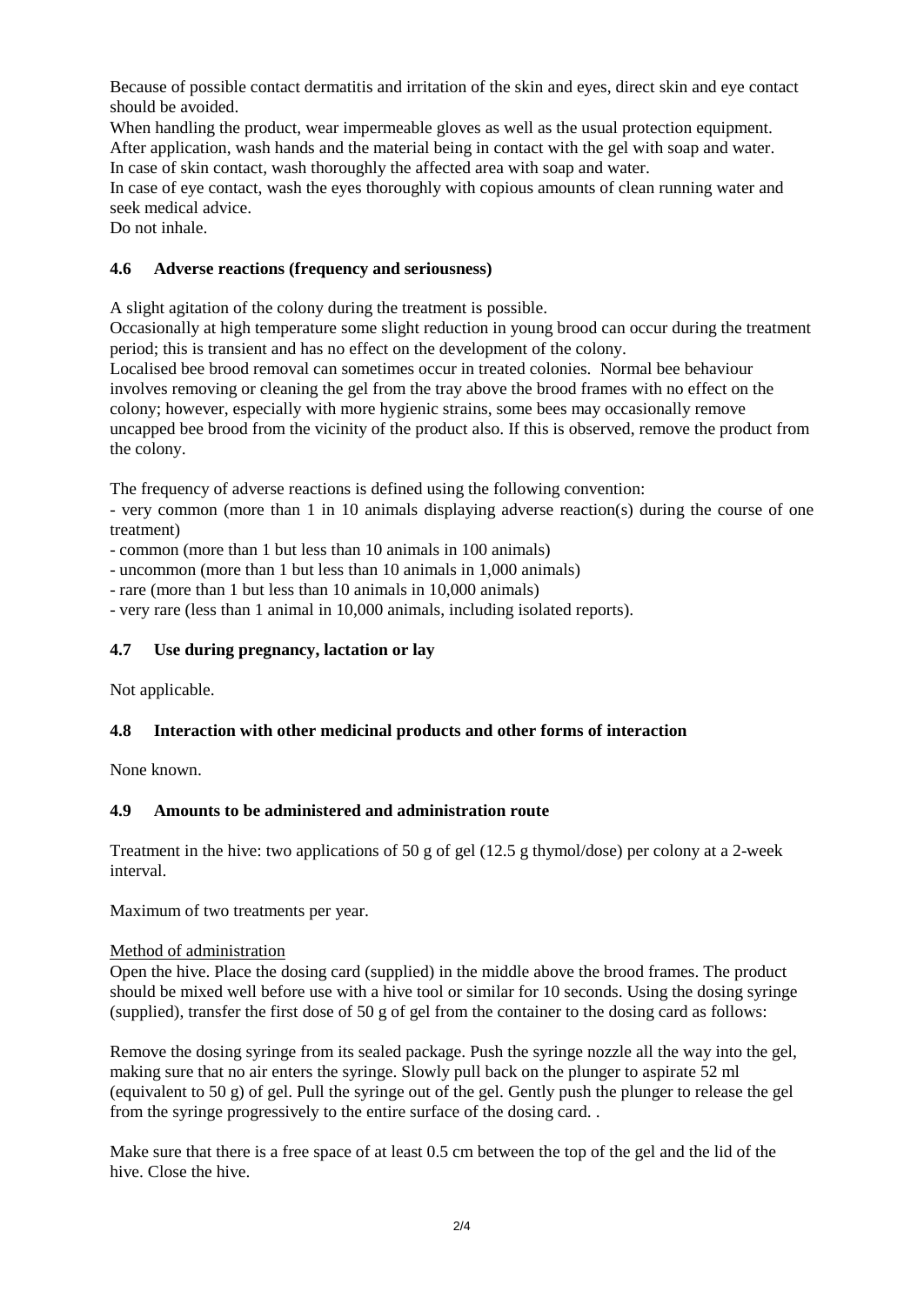Because of possible contact dermatitis and irritation of the skin and eyes, direct skin and eye contact should be avoided.

When handling the product, wear impermeable gloves as well as the usual protection equipment. After application, wash hands and the material being in contact with the gel with soap and water. In case of skin contact, wash thoroughly the affected area with soap and water.

In case of eye contact, wash the eyes thoroughly with copious amounts of clean running water and seek medical advice.

Do not inhale.

## **4.6 Adverse reactions (frequency and seriousness)**

A slight agitation of the colony during the treatment is possible.

Occasionally at high temperature some slight reduction in young brood can occur during the treatment period; this is transient and has no effect on the development of the colony.

Localised bee brood removal can sometimes occur in treated colonies. Normal bee behaviour involves removing or cleaning the gel from the tray above the brood frames with no effect on the colony; however, especially with more hygienic strains, some bees may occasionally remove uncapped bee brood from the vicinity of the product also. If this is observed, remove the product from the colony.

The frequency of adverse reactions is defined using the following convention:

- very common (more than 1 in 10 animals displaying adverse reaction(s) during the course of one treatment)

- common (more than 1 but less than 10 animals in 100 animals)

- uncommon (more than 1 but less than 10 animals in 1,000 animals)

- rare (more than 1 but less than 10 animals in 10,000 animals)

- very rare (less than 1 animal in 10,000 animals, including isolated reports).

## **4.7 Use during pregnancy, lactation or lay**

Not applicable.

## **4.8 Interaction with other medicinal products and other forms of interaction**

None known.

## **4.9 Amounts to be administered and administration route**

Treatment in the hive: two applications of 50 g of gel (12.5 g thymol/dose) per colony at a 2-week interval.

Maximum of two treatments per year.

#### Method of administration

Open the hive. Place the dosing card (supplied) in the middle above the brood frames. The product should be mixed well before use with a hive tool or similar for 10 seconds. Using the dosing syringe (supplied), transfer the first dose of 50 g of gel from the container to the dosing card as follows:

Remove the dosing syringe from its sealed package. Push the syringe nozzle all the way into the gel, making sure that no air enters the syringe. Slowly pull back on the plunger to aspirate 52 ml (equivalent to 50 g) of gel. Pull the syringe out of the gel. Gently push the plunger to release the gel from the syringe progressively to the entire surface of the dosing card. .

Make sure that there is a free space of at least 0.5 cm between the top of the gel and the lid of the hive. Close the hive.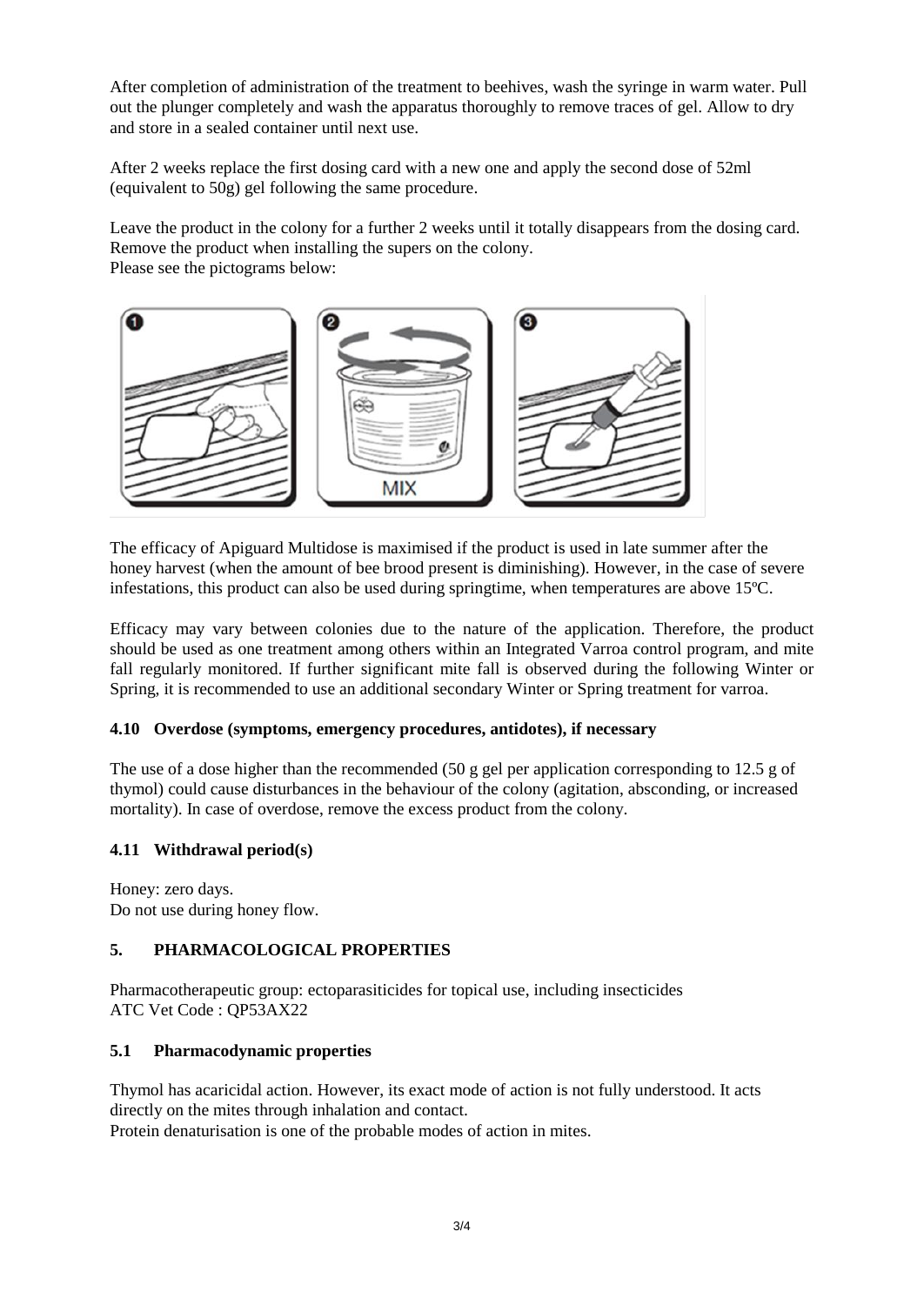After completion of administration of the treatment to beehives, wash the syringe in warm water. Pull out the plunger completely and wash the apparatus thoroughly to remove traces of gel. Allow to dry and store in a sealed container until next use.

After 2 weeks replace the first dosing card with a new one and apply the second dose of 52ml (equivalent to 50g) gel following the same procedure.

Leave the product in the colony for a further 2 weeks until it totally disappears from the dosing card. Remove the product when installing the supers on the colony. Please see the pictograms below:



The efficacy of Apiguard Multidose is maximised if the product is used in late summer after the honey harvest (when the amount of bee brood present is diminishing). However, in the case of severe infestations, this product can also be used during springtime, when temperatures are above 15ºC.

Efficacy may vary between colonies due to the nature of the application. Therefore, the product should be used as one treatment among others within an Integrated Varroa control program, and mite fall regularly monitored. If further significant mite fall is observed during the following Winter or Spring, it is recommended to use an additional secondary Winter or Spring treatment for varroa.

## **4.10 Overdose (symptoms, emergency procedures, antidotes), if necessary**

The use of a dose higher than the recommended (50 g gel per application corresponding to 12.5 g of thymol) could cause disturbances in the behaviour of the colony (agitation, absconding, or increased mortality). In case of overdose, remove the excess product from the colony.

## **4.11 Withdrawal period(s)**

Honey: zero days. Do not use during honey flow.

## **5. PHARMACOLOGICAL PROPERTIES**

Pharmacotherapeutic group: ectoparasiticides for topical use, including insecticides ATC Vet Code : QP53AX22

## **5.1 Pharmacodynamic properties**

Thymol has acaricidal action. However, its exact mode of action is not fully understood. It acts directly on the mites through inhalation and contact.

Protein denaturisation is one of the probable modes of action in mites.